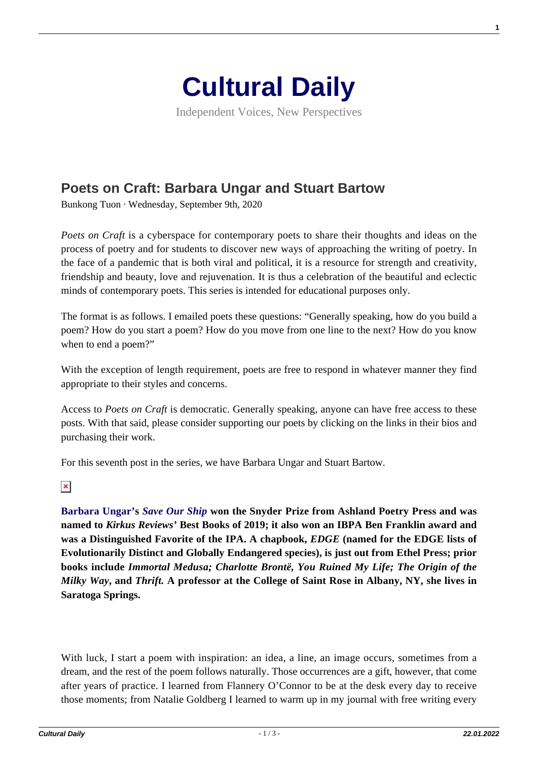

Independent Voices, New Perspectives

## **[Poets on Craft: Barbara Ungar and Stuart Bartow](https://culturaldaily.com/poets-on-craft-barbara-ungar-and-stuart-bartow/)**

Bunkong Tuon · Wednesday, September 9th, 2020

*Poets on Craft* is a cyberspace for contemporary poets to share their thoughts and ideas on the process of poetry and for students to discover new ways of approaching the writing of poetry. In the face of a pandemic that is both viral and political, it is a resource for strength and creativity, friendship and beauty, love and rejuvenation. It is thus a celebration of the beautiful and eclectic minds of contemporary poets. This series is intended for educational purposes only.

The format is as follows. I emailed poets these questions: "Generally speaking, how do you build a poem? How do you start a poem? How do you move from one line to the next? How do you know when to end a poem?"

With the exception of length requirement, poets are free to respond in whatever manner they find appropriate to their styles and concerns.

Access to *Poets on Craft* is democratic. Generally speaking, anyone can have free access to these posts. With that said, please consider supporting our poets by clicking on the links in their bios and purchasing their work.

For this seventh post in the series, we have Barbara Ungar and Stuart Bartow.

 $\pmb{\times}$ 

**[Barbara Ungar'](http://www.barbaraungar.net)s** *[Save Our Ship](https://www.ashlandpoetrypress.com/online-catalog/snyder-series/save-our-ship)* **won the Snyder Prize from Ashland Poetry Press and was named to** *Kirkus Reviews'* **Best Books of 2019; it also won an IBPA Ben Franklin award and was a Distinguished Favorite of the IPA. A chapbook,** *EDGE* **(named for the EDGE lists of Evolutionarily Distinct and Globally Endangered species), is just out from Ethel Press; prior books include** *Immortal Medusa; Charlotte Brontë, You Ruined My Life; The Origin of the Milky Way***, and** *Thrift.* **A professor at the College of Saint Rose in Albany, NY, she lives in Saratoga Springs.**

With luck, I start a poem with inspiration: an idea, a line, an image occurs, sometimes from a dream, and the rest of the poem follows naturally. Those occurrences are a gift, however, that come after years of practice. I learned from Flannery O'Connor to be at the desk every day to receive those moments; from Natalie Goldberg I learned to warm up in my journal with free writing every **1**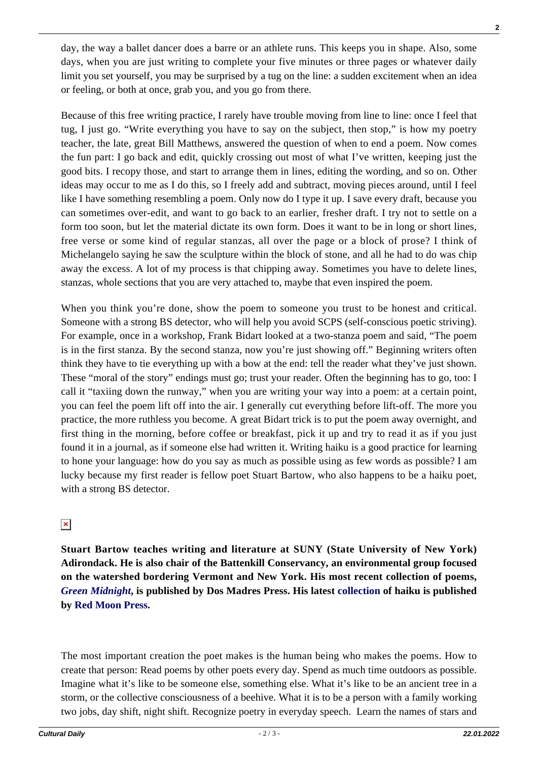day, the way a ballet dancer does a barre or an athlete runs. This keeps you in shape. Also, some days, when you are just writing to complete your five minutes or three pages or whatever daily limit you set yourself, you may be surprised by a tug on the line: a sudden excitement when an idea or feeling, or both at once, grab you, and you go from there.

Because of this free writing practice, I rarely have trouble moving from line to line: once I feel that tug, I just go. "Write everything you have to say on the subject, then stop," is how my poetry teacher, the late, great Bill Matthews, answered the question of when to end a poem. Now comes the fun part: I go back and edit, quickly crossing out most of what I've written, keeping just the good bits. I recopy those, and start to arrange them in lines, editing the wording, and so on. Other ideas may occur to me as I do this, so I freely add and subtract, moving pieces around, until I feel like I have something resembling a poem. Only now do I type it up. I save every draft, because you can sometimes over-edit, and want to go back to an earlier, fresher draft. I try not to settle on a form too soon, but let the material dictate its own form. Does it want to be in long or short lines, free verse or some kind of regular stanzas, all over the page or a block of prose? I think of Michelangelo saying he saw the sculpture within the block of stone, and all he had to do was chip away the excess. A lot of my process is that chipping away. Sometimes you have to delete lines, stanzas, whole sections that you are very attached to, maybe that even inspired the poem.

When you think you're done, show the poem to someone you trust to be honest and critical. Someone with a strong BS detector, who will help you avoid SCPS (self-conscious poetic striving). For example, once in a workshop, Frank Bidart looked at a two-stanza poem and said, "The poem is in the first stanza. By the second stanza, now you're just showing off." Beginning writers often think they have to tie everything up with a bow at the end: tell the reader what they've just shown. These "moral of the story" endings must go; trust your reader. Often the beginning has to go, too: I call it "taxiing down the runway," when you are writing your way into a poem: at a certain point, you can feel the poem lift off into the air. I generally cut everything before lift-off. The more you practice, the more ruthless you become. A great Bidart trick is to put the poem away overnight, and first thing in the morning, before coffee or breakfast, pick it up and try to read it as if you just found it in a journal, as if someone else had written it. Writing haiku is a good practice for learning to hone your language: how do you say as much as possible using as few words as possible? I am lucky because my first reader is fellow poet Stuart Bartow, who also happens to be a haiku poet, with a strong BS detector.

## $\pmb{\times}$

**Stuart Bartow teaches writing and literature at SUNY (State University of New York) Adirondack. He is also chair of the Battenkill Conservancy, an environmental group focused on the watershed bordering Vermont and New York. His most recent collection of poems,** *[Green Midnight](https://www.dosmadres.com/shop/green-midnight-by-stuart-bartow/)***, is published by Dos Madres Press. His latest [collection](https://www.redmoonpress.com/catalog/product_info.php?products_id=297&osCsid=a8dcb1ad21de13612ee4d13600cf4db5) of haiku is published by [Red Moon Press](https://www.redmoonpress.com/catalog/).**

The most important creation the poet makes is the human being who makes the poems. How to create that person: Read poems by other poets every day. Spend as much time outdoors as possible. Imagine what it's like to be someone else, something else. What it's like to be an ancient tree in a storm, or the collective consciousness of a beehive. What it is to be a person with a family working two jobs, day shift, night shift. Recognize poetry in everyday speech. Learn the names of stars and